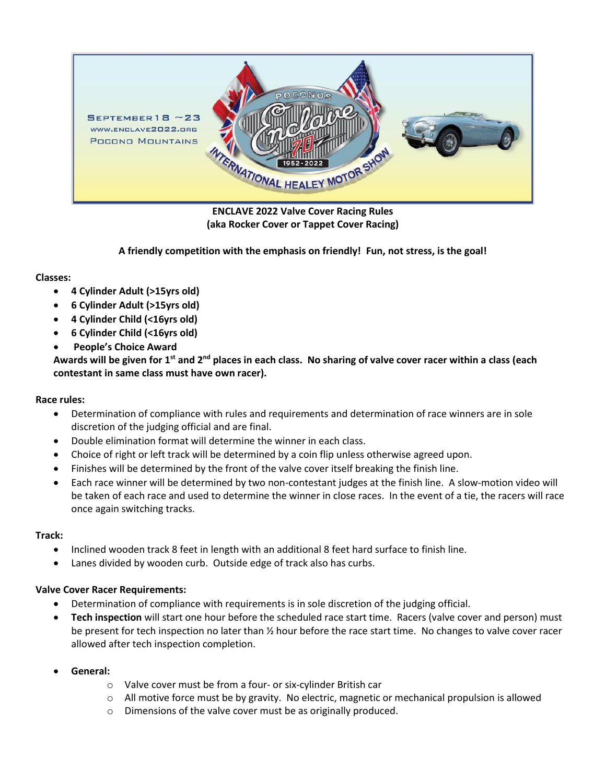

**ENCLAVE 2022 Valve Cover Racing Rules (aka Rocker Cover or Tappet Cover Racing)**

**A friendly competition with the emphasis on friendly! Fun, not stress, is the goal!**

### **Classes:**

- **4 Cylinder Adult (>15yrs old)**
- **6 Cylinder Adult (>15yrs old)**
- **4 Cylinder Child (<16yrs old)**
- **6 Cylinder Child (<16yrs old)**
- **People's Choice Award**

**Awards will be given for 1st and 2nd places in each class. No sharing of valve cover racer within a class (each contestant in same class must have own racer).**

# **Race rules:**

- Determination of compliance with rules and requirements and determination of race winners are in sole discretion of the judging official and are final.
- Double elimination format will determine the winner in each class.
- Choice of right or left track will be determined by a coin flip unless otherwise agreed upon.
- Finishes will be determined by the front of the valve cover itself breaking the finish line.
- Each race winner will be determined by two non-contestant judges at the finish line. A slow-motion video will be taken of each race and used to determine the winner in close races. In the event of a tie, the racers will race once again switching tracks.

# **Track:**

- Inclined wooden track 8 feet in length with an additional 8 feet hard surface to finish line.
- Lanes divided by wooden curb. Outside edge of track also has curbs.

#### **Valve Cover Racer Requirements:**

- Determination of compliance with requirements is in sole discretion of the judging official.
- **Tech inspection** will start one hour before the scheduled race start time. Racers (valve cover and person) must be present for tech inspection no later than ½ hour before the race start time. No changes to valve cover racer allowed after tech inspection completion.
- **General:**
	- o Valve cover must be from a four- or six-cylinder British car
	- $\circ$  All motive force must be by gravity. No electric, magnetic or mechanical propulsion is allowed
	- o Dimensions of the valve cover must be as originally produced.